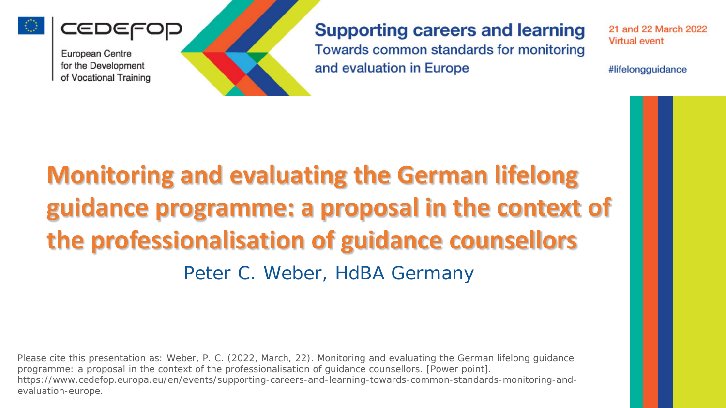

IEDEF

**Supporting careers and learning** Towards common standards for monitoring and evaluation in Europe

21 and 22 March 2022 **Virtual event** 

#lifelongguidance

# **Monitoring and evaluating the German lifelong guidance programme: a proposal in the context of the professionalisation of guidance counsellors** Peter C. Weber, HdBA Germany

Please cite this presentation as: Weber, P. C. (2022, March, 22). Monitoring and evaluating the German lifelong guidance programme: a proposal in the context of the professionalisation of guidance counsellors. [Power point]. https://www.cedefop.europa.eu/en/events/supporting-careers-and-learning-towards-common-standards-monitoring-andevaluation-europe.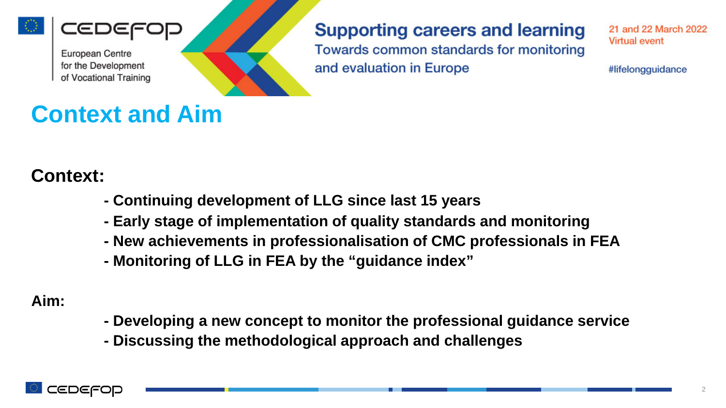

#### **Supporting careers and learning**

Towards common standards for monitoring and evaluation in Europe

21 and 22 March 2022 **Virtual event** 

#lifelongguidance

### **Context and Aim**

#### **Context:**

- **- Continuing development of LLG since last 15 years**
- **- Early stage of implementation of quality standards and monitoring**
- **- New achievements in professionalisation of CMC professionals in FEA**
- **- Monitoring of LLG in FEA by the "guidance index"**

#### **Aim:**

- **- Developing a new concept to monitor the professional guidance service**
- **- Discussing the methodological approach and challenges**

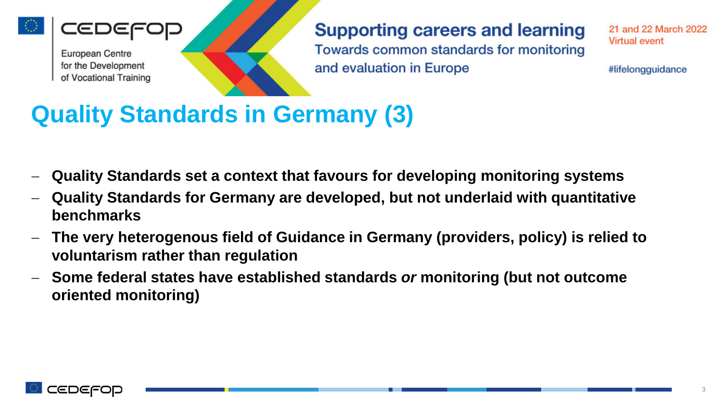

**Supporting careers and learning** Towards common standards for monitoring and evaluation in Europe

21 and 22 March 2022 **Virtual event** 

#lifelongguidance

### **Quality Standards in Germany (3)**

- − **Quality Standards set a context that favours for developing monitoring systems**
- − **Quality Standards for Germany are developed, but not underlaid with quantitative benchmarks**
- − **The very heterogenous field of Guidance in Germany (providers, policy) is relied to voluntarism rather than regulation**
- − **Some federal states have established standards** *or* **monitoring (but not outcome oriented monitoring)**

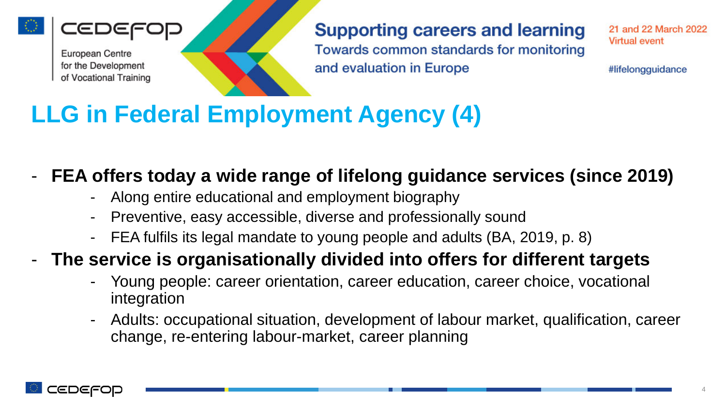

**Supporting careers and learning** Towards common standards for monitoring and evaluation in Europe

21 and 22 March 2022 **Virtual event** 

#lifelongguidance

# **LLG in Federal Employment Agency (4)**

#### - **FEA offers today a wide range of lifelong guidance services (since 2019)**

- Along entire educational and employment biography
- Preventive, easy accessible, diverse and professionally sound
- FEA fulfils its legal mandate to young people and adults (BA, 2019, p. 8)

#### - **The service is organisationally divided into offers for different targets**

- Young people: career orientation, career education, career choice, vocational integration
- Adults: occupational situation, development of labour market, qualification, career change, re-entering labour-market, career planning

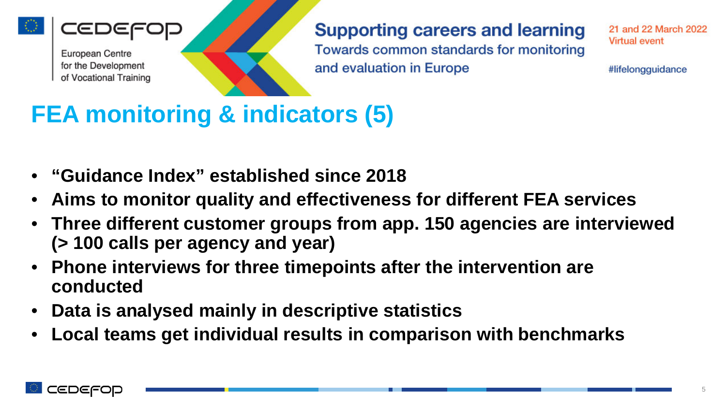

**Supporting careers and learning** Towards common standards for monitoring and evaluation in Europe

21 and 22 March 2022 **Virtual event** 

#lifelongguidance

## **FEA monitoring & indicators (5)**

- **"Guidance Index" established since 2018**
- **Aims to monitor quality and effectiveness for different FEA services**
- **Three different customer groups from app. 150 agencies are interviewed (> 100 calls per agency and year)**
- **Phone interviews for three timepoints after the intervention are conducted**
- **Data is analysed mainly in descriptive statistics**
- **Local teams get individual results in comparison with benchmarks**

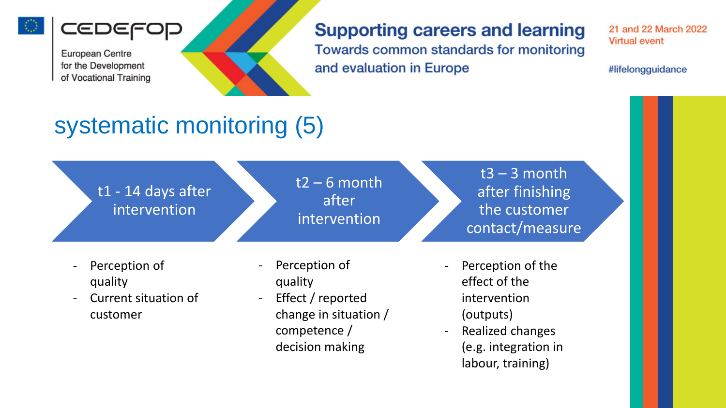





#### **Supporting careers and learning**

Towards common standards for monitoring and evaluation in Europe

21 and 22 March 2022 **Virtual event** 

#lifelongguidance

# systematic monitoring (5)



- Perception of quality
- Current situation of customer
- Perception of quality
- Effect / reported change in situation / competence / decision making
- Perception of the effect of the intervention (outputs)
- Realized changes (e.g. integration in labour, training)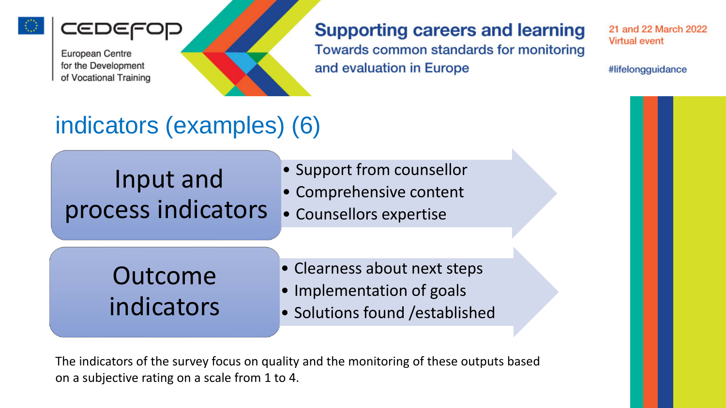





#### **Supporting careers and learning**

Towards common standards for monitoring and evaluation in Europe

21 and 22 March 2022 **Virtual event** 

#lifelongguidance

### indicators (examples) (6)



- Support from counsellor
- Comprehensive content
- Counsellors expertise

# Outcome indicators

- Clearness about next steps
- Implementation of goals
- Solutions found /established

The indicators of the survey focus on quality and the monitoring of these outputs based on a subjective rating on a scale from 1 to 4.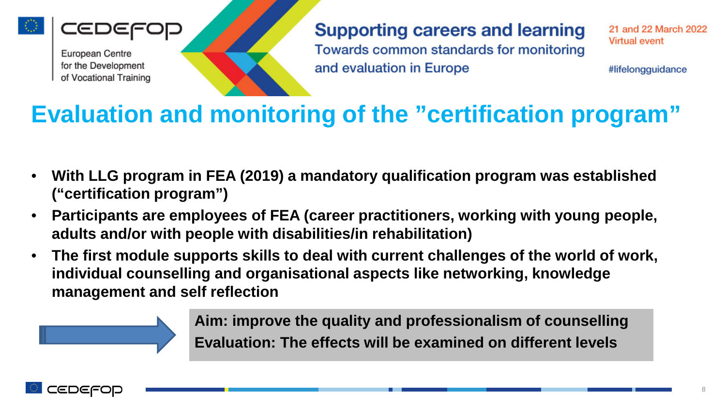

**Supporting careers and learning** Towards common standards for monitoring and evaluation in Europe

21 and 22 March 2022 **Virtual event** 

#lifelongguidance

### **Evaluation and monitoring of the "certification program"**

- **With LLG program in FEA (2019) a mandatory qualification program was established ("certification program")**
- **Participants are employees of FEA (career practitioners, working with young people, adults and/or with people with disabilities/in rehabilitation)**
- **The first module supports skills to deal with current challenges of the world of work, individual counselling and organisational aspects like networking, knowledge management and self reflection**

**Aim: improve the quality and professionalism of counselling Evaluation: The effects will be examined on different levels**

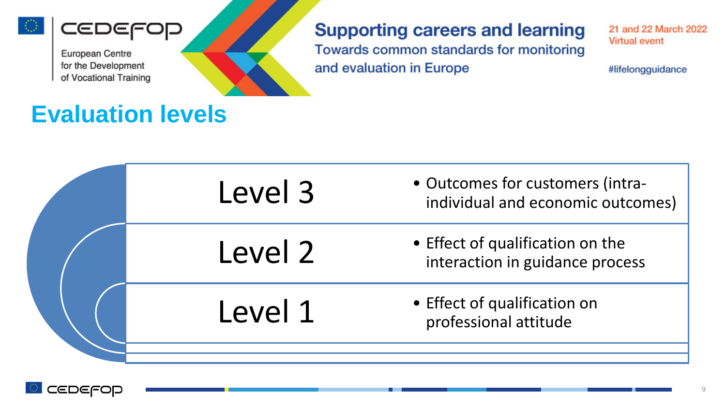



#### **Supporting careers and learning**

Towards common standards for monitoring and evaluation in Europe

21 and 22 March 2022 **Virtual event** 

#lifelongguidance

### **Evaluation levels**

| Level 3 | • Outcomes for customers (intra-<br>individual and economic outcomes) |
|---------|-----------------------------------------------------------------------|
| Level 2 | • Effect of qualification on the<br>interaction in guidance process   |
| Level 1 | • Effect of qualification on<br>professional attitude                 |
|         |                                                                       |

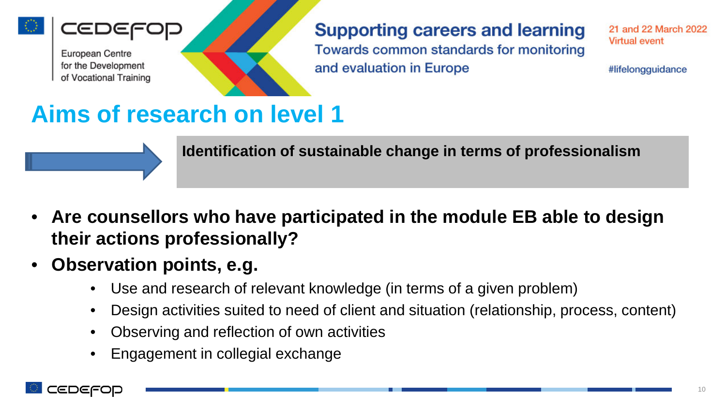



of Vocational Training

### **Supporting careers and learning**

Towards common standards for monitoring and evaluation in Europe

21 and 22 March 2022 **Virtual event** 

#lifelongguidance

### **Aims of research on level 1**

**Identification of sustainable change in terms of professionalism**

- **Are counsellors who have participated in the module EB able to design their actions professionally?**
- **Observation points, e.g.**
	- Use and research of relevant knowledge (in terms of a given problem)
	- Design activities suited to need of client and situation (relationship, process, content)
	- Observing and reflection of own activities
	- Engagement in collegial exchange

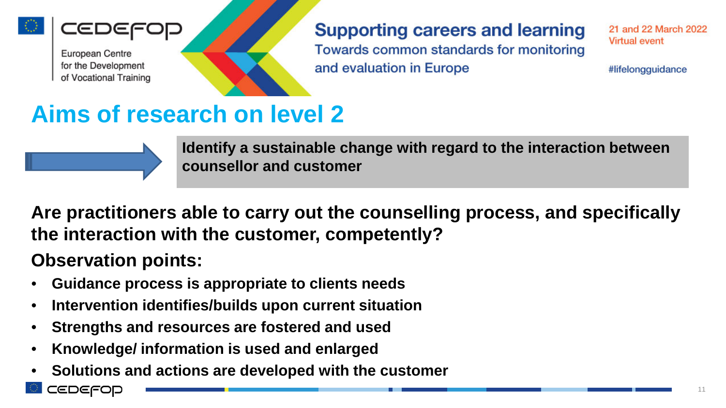



#### **Supporting careers and learning** Towards common standards for monitoring and evaluation in Europe

21 and 22 March 2022 **Virtual event** 

#lifelongguidance

### **Aims of research on level 2**



**Are practitioners able to carry out the counselling process, and specifically the interaction with the customer, competently?**

#### **Observation points:**

- **Guidance process is appropriate to clients needs**
- **Intervention identifies/builds upon current situation**
- **Strengths and resources are fostered and used**
- **Knowledge/ information is used and enlarged**
- **Solutions and actions are developed with the customer**

CEDEFOD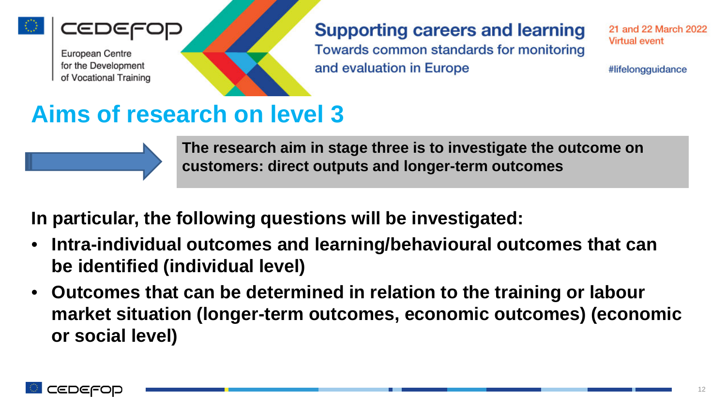



#### **Supporting careers and learning** Towards common standards for monitoring

21 and 22 March 2022 **Virtual event** 

#lifelongguidance

### **Aims of research on level 3**



**The research aim in stage three is to investigate the outcome on customers: direct outputs and longer-term outcomes**

and evaluation in Europe

**In particular, the following questions will be investigated:**

- **Intra-individual outcomes and learning/behavioural outcomes that can be identified (individual level)**
- **Outcomes that can be determined in relation to the training or labour market situation (longer-term outcomes, economic outcomes) (economic or social level)**

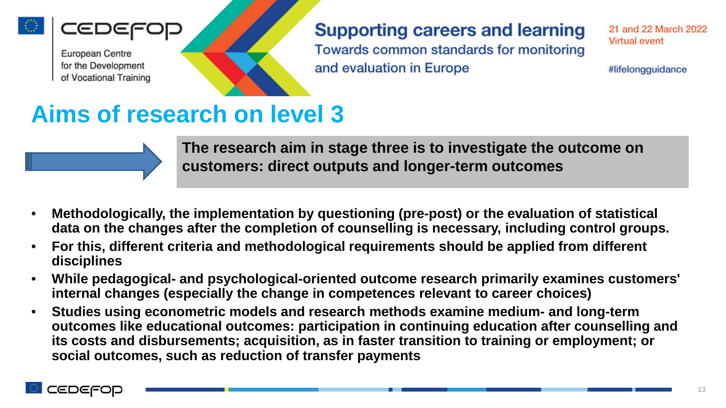



#### **Supporting careers and learning** Towards common standards for monitoring

and evaluation in Europe

21 and 22 March 2022 **Virtual event** 

#lifelongguidance

### **Aims of research on level 3**



**The research aim in stage three is to investigate the outcome on customers: direct outputs and longer-term outcomes**

- **Methodologically, the implementation by questioning (pre-post) or the evaluation of statistical data on the changes after the completion of counselling is necessary, including control groups.**
- **For this, different criteria and methodological requirements should be applied from different disciplines**
- **While pedagogical- and psychological-oriented outcome research primarily examines customers' internal changes (especially the change in competences relevant to career choices)**
- **Studies using econometric models and research methods examine medium- and long-term outcomes like educational outcomes: participation in continuing education after counselling and its costs and disbursements; acquisition, as in faster transition to training or employment; or social outcomes, such as reduction of transfer payments**

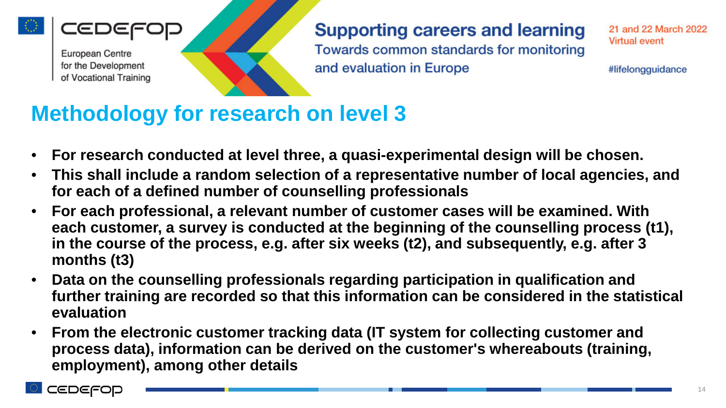

**Supporting careers and learning** Towards common standards for monitoring and evaluation in Europe

21 and 22 March 2022 **Virtual event** 

#lifelongguidance

### **Methodology for research on level 3**

- **For research conducted at level three, a quasi-experimental design will be chosen.**
- **This shall include a random selection of a representative number of local agencies, and for each of a defined number of counselling professionals**
- **For each professional, a relevant number of customer cases will be examined. With each customer, a survey is conducted at the beginning of the counselling process (t1), in the course of the process, e.g. after six weeks (t2), and subsequently, e.g. after 3 months (t3)**
- **Data on the counselling professionals regarding participation in qualification and further training are recorded so that this information can be considered in the statistical evaluation**
- **From the electronic customer tracking data (IT system for collecting customer and process data), information can be derived on the customer's whereabouts (training, employment), among other details**

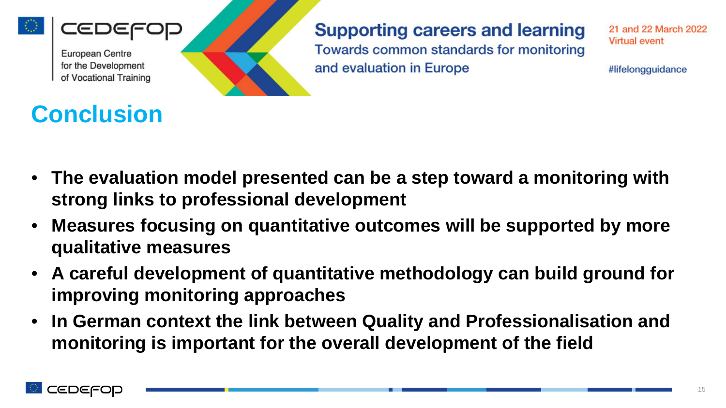

**Supporting careers and learning** Towards common standards for monitoring and evaluation in Europe

21 and 22 March 2022 **Virtual event** 

#lifelongguidance

# **Conclusion**

- **The evaluation model presented can be a step toward a monitoring with strong links to professional development**
- **Measures focusing on quantitative outcomes will be supported by more qualitative measures**
- **A careful development of quantitative methodology can build ground for improving monitoring approaches**
- **In German context the link between Quality and Professionalisation and monitoring is important for the overall development of the field**